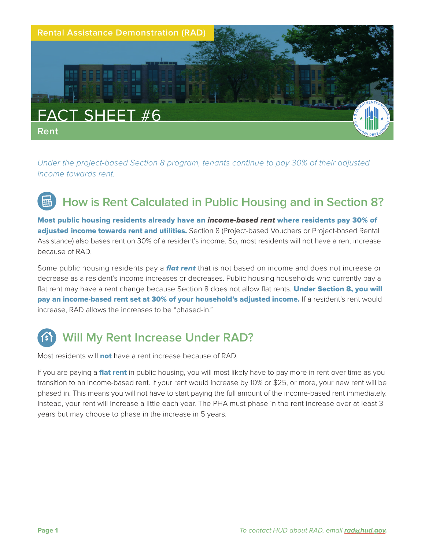

*Under the project-based Section 8 program, tenants continue to pay 30% of their adjusted income towards rent.*

## **How is Rent Calculated in Public Housing and in Section 8?**

Most public housing residents already have an income-based rent where residents pay 30% of adjusted income towards rent and utilities. Section 8 (Project-based Vouchers or Project-based Rental Assistance) also bases rent on 30% of a resident's income. So, most residents will not have a rent increase because of RAD.

Some public housing residents pay a **flat rent** that is not based on income and does not increase or decrease as a resident's income increases or decreases. Public housing households who currently pay a flat rent may have a rent change because Section 8 does not allow flat rents. Under Section 8, you will pay an income-based rent set at 30% of your household's adjusted income. If a resident's rent would increase, RAD allows the increases to be "phased-in."

## **Will My Rent Increase Under RAD?**

Most residents will **not** have a rent increase because of RAD.

If you are paying a **flat rent** in public housing, you will most likely have to pay more in rent over time as you transition to an income-based rent. If your rent would increase by 10% or \$25, or more, your new rent will be phased in. This means you will not have to start paying the full amount of the income-based rent immediately. Instead, your rent will increase a little each year. The PHA must phase in the rent increase over at least 3 years but may choose to phase in the increase in 5 years.